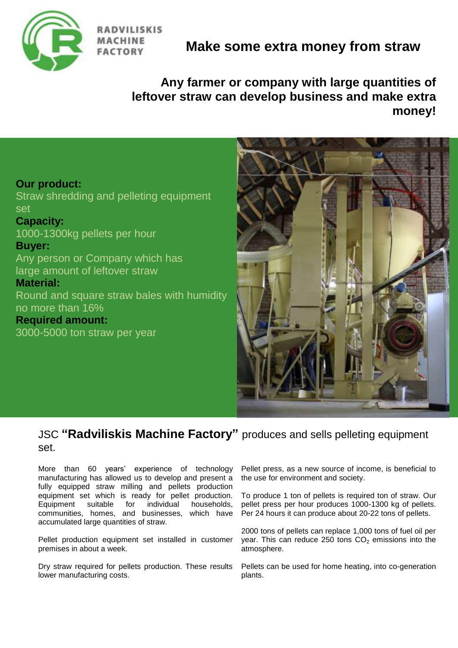

**RADVILISKIS FACTORY** 

# **Make some extra money from straw**

**Any farmer or company with large quantities of leftover straw can develop business and make extra money!**

#### **Our product:**

Straw shredding and pelleting equipment set

**Capacity:** 1000-1300kg pellets per hour

#### **Buyer:**

Any person or Company which has large amount of leftover straw

#### **Material:**

Round and square straw bales with humidity no more than 16%

**Required amount:** 3000-5000 ton straw per year



### JSC **"Radviliskis Machine Factory"** produces and sells pelleting equipment set.

More than 60 years' experience of technology manufacturing has allowed us to develop and present a fully equipped straw milling and pellets production equipment set which is ready for pellet production. Equipment suitable for individual households, communities, homes, and businesses, which have accumulated large quantities of straw.

Pellet production equipment set installed in customer premises in about a week.

Dry straw required for pellets production. These results lower manufacturing costs.

Pellet press, as a new source of income, is beneficial to the use for environment and society.

To produce 1 ton of pellets is required ton of straw. Our pellet press per hour produces 1000-1300 kg of pellets. Per 24 hours it can produce about 20-22 tons of pellets.

2000 tons of pellets can replace 1,000 tons of fuel oil per year. This can reduce 250 tons  $CO<sub>2</sub>$  emissions into the atmosphere.

Pellets can be used for home heating, into co-generation plants.